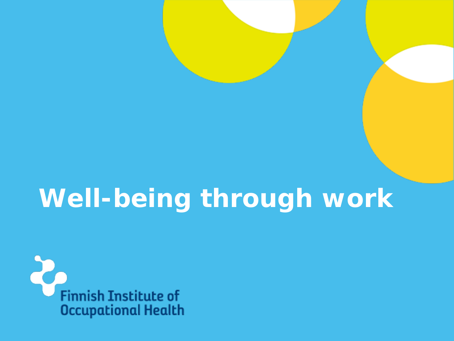# **Well-being through work**

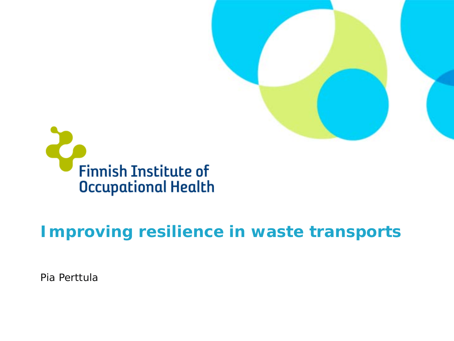



### **Improving resilience in waste transports**

Pia Perttula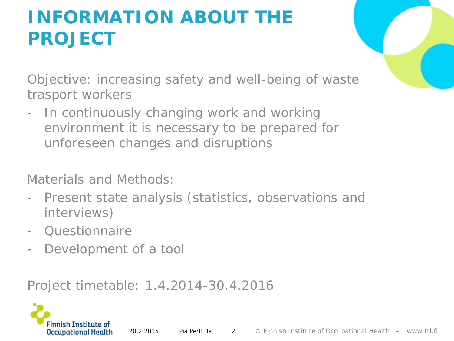### **INFORMATION ABOUT THE PROJECT**

Objective: increasing safety and well-being of waste trasport workers

In continuously changing work and working environment it is necessary to be prepared for unforeseen changes and disruptions

Materials and Methods:

- Present state analysis (statistics, observations and interviews)
- Questionnaire
- Development of a tool

Project timetable: 1.4.2014-30.4.2016

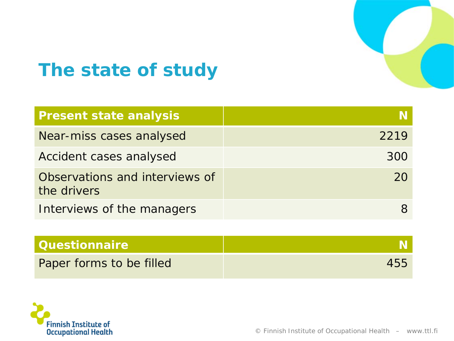

### **The state of study**

| <b>Present state analysis</b>                 |      |
|-----------------------------------------------|------|
| Near-miss cases analysed                      | 2219 |
| Accident cases analysed                       | 300  |
| Observations and interviews of<br>the drivers | 20   |
| Interviews of the managers                    |      |

| <b>Questionnaire</b>     |     |
|--------------------------|-----|
| Paper forms to be filled | 455 |

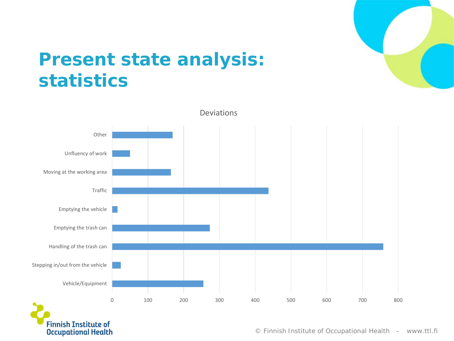

### **Present state analysis: statistics**



© Finnish Institute of Occupational Health – www.ttl.fi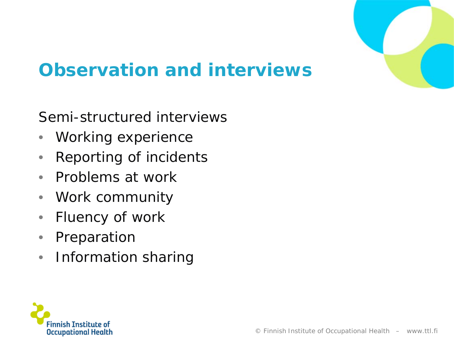

### **Observation and interviews**

#### Semi-structured interviews

- Working experience
- Reporting of incidents
- Problems at work
- Work community
- Fluency of work
- Preparation
- Information sharing

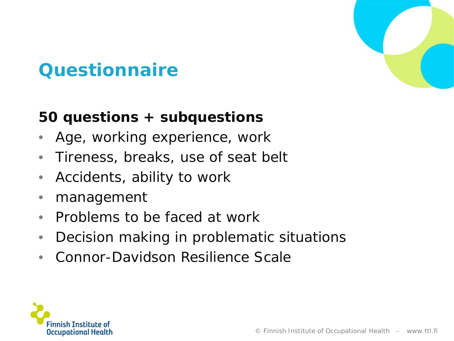

### **Questionnaire**

#### **50 questions + subquestions**

- Age, working experience, work
- Tireness, breaks, use of seat belt
- Accidents, ability to work
- management
- Problems to be faced at work
- Decision making in problematic situations
- Connor-Davidson Resilience Scale

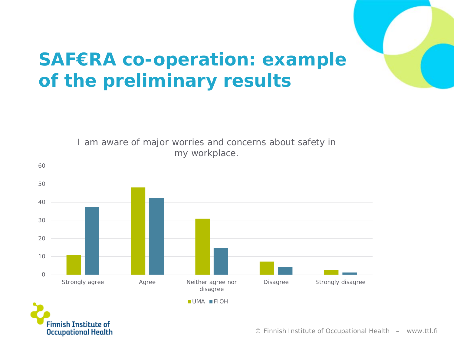## **SAF€RA co-operation: example of the preliminary results**



**Occupational Health** 

© Finnish Institute of Occupational Health – www.ttl.fi